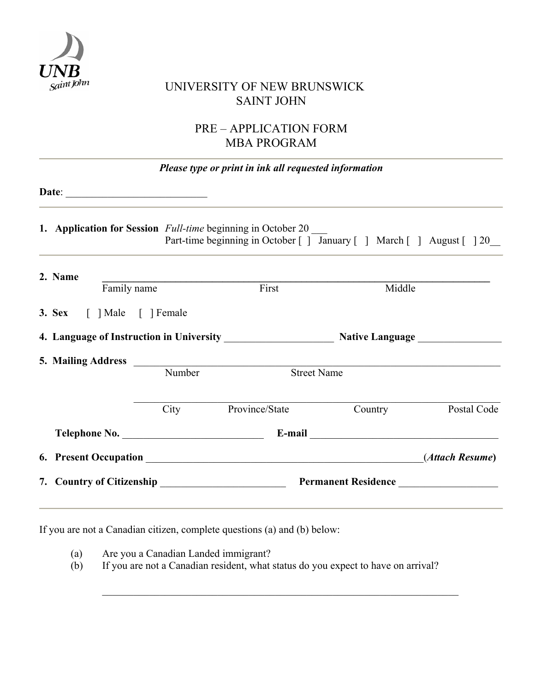

# $S_{\mathcal{A}}$ int $J_{\mathcal{O}}$ <sup>Inn</sup> UNIVERSITY OF NEW BRUNSWICK SAINT JOHN

# PRE – APPLICATION FORM MBA PROGRAM

| Please type or print in ink all requested information                                                                                         |        |                     |         |             |  |  |  |  |  |
|-----------------------------------------------------------------------------------------------------------------------------------------------|--------|---------------------|---------|-------------|--|--|--|--|--|
| Date: $\qquad \qquad$                                                                                                                         |        |                     |         |             |  |  |  |  |  |
| 1. Application for Session <i>Full-time</i> beginning in October 20<br>Part-time beginning in October [ ] January [ ] March [ ] August [ ] 20 |        |                     |         |             |  |  |  |  |  |
| 2. Name<br>Family name                                                                                                                        |        | First               | Middle  |             |  |  |  |  |  |
| 3. Sex [ ] Male [ ] Female                                                                                                                    |        |                     |         |             |  |  |  |  |  |
|                                                                                                                                               |        |                     |         |             |  |  |  |  |  |
|                                                                                                                                               | Number | <b>Street Name</b>  |         |             |  |  |  |  |  |
|                                                                                                                                               |        | City Province/State | Country | Postal Code |  |  |  |  |  |
|                                                                                                                                               |        |                     |         |             |  |  |  |  |  |
|                                                                                                                                               |        |                     |         |             |  |  |  |  |  |
| 7. Country of Citizenship Permanent Residence                                                                                                 |        |                     |         |             |  |  |  |  |  |

If you are not a Canadian citizen, complete questions (a) and (b) below:

(a) Are you a Canadian Landed immigrant?

(b) If you are not a Canadian resident, what status do you expect to have on arrival?

 $\_$  , and the set of the set of the set of the set of the set of the set of the set of the set of the set of the set of the set of the set of the set of the set of the set of the set of the set of the set of the set of th